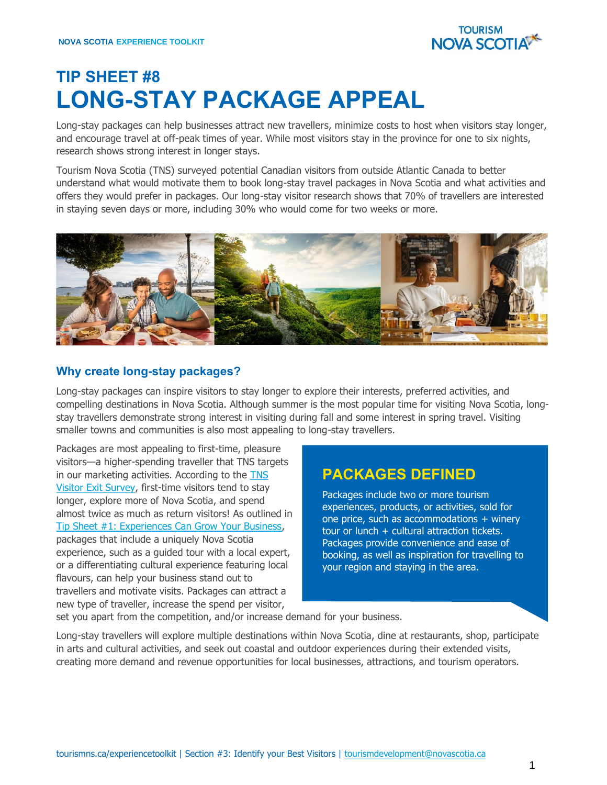

# **TIP SHEET #8 LONG-STAY PACKAGE APPEAL**

Long-stay packages can help businesses attract new travellers, minimize costs to host when visitors stay longer, and encourage travel at off-peak times of year. While most visitors stay in the province for one to six nights, research shows strong interest in longer stays.

Tourism Nova Scotia (TNS) surveyed potential Canadian visitors from outside Atlantic Canada to better understand what would motivate them to book long-stay travel packages in Nova Scotia and what activities and offers they would prefer in packages. Our long-stay visitor research shows that 70% of travellers are interested in staying seven days or more, including 30% who would come for two weeks or more.



## **Why create long-stay packages?**

Long-stay packages can inspire visitors to stay longer to explore their interests, preferred activities, and compelling destinations in Nova Scotia. Although summer is the most popular time for visiting Nova Scotia, longstay travellers demonstrate strong interest in visiting during fall and some interest in spring travel. Visiting smaller towns and communities is also most appealing to long-stay travellers.

Packages are most appealing to first-time, pleasure visitors—a higher-spending traveller that TNS targets in our marketing activities. According to the **TNS** [Visitor Exit Survey,](https://tourismns.ca/sites/default/files/2021-01/2019%20VES%20Full%20Year%20Report.pdf) first-time visitors tend to stay longer, explore more of Nova Scotia, and spend almost twice as much as return visitors! As outlined in [Tip Sheet #1: Experiences Can Grow Your Business,](https://tourismns.ca/sites/default/files/Tip-Sheet-1-Experiences-Can-Grow-Your-Business.pdf) packages that include a uniquely Nova Scotia experience, such as a guided tour with a local expert, or a differentiating cultural experience featuring local flavours, can help your business stand out to travellers and motivate visits. Packages can attract a new type of traveller, increase the spend per visitor,

## **PACKAGES DEFINED**

Packages include two or more tourism experiences, products, or activities, sold for one price, such as accommodations  $+$  winery tour or lunch  $+$  cultural attraction tickets. Packages provide convenience and ease of booking, as well as inspiration for travelling to your region and staying in the area.

set you apart from the competition, and/or increase demand for your business.

Long-stay travellers will explore multiple destinations within Nova Scotia, dine at restaurants, shop, participate in arts and cultural activities, and seek out coastal and outdoor experiences during their extended visits, creating more demand and revenue opportunities for local businesses, attractions, and tourism operators.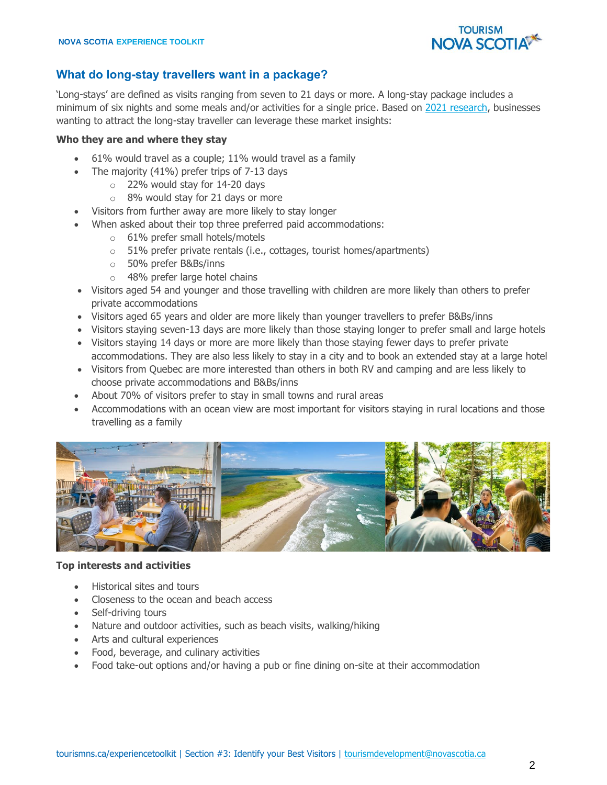

## **What do long-stay travellers want in a package?**

'Long-stays' are defined as visits ranging from seven to 21 days or more. A long-stay package includes a minimum of six nights and some meals and/or activities for a single price. Based on [2021 research,](https://tourismns.ca/sites/default/files/2022-03/2021%20Long%20Stay%20Package%20Survey%20-%20Summary%20Report_FINAL_March%2025_0.pdf) businesses wanting to attract the long-stay traveller can leverage these market insights:

#### **Who they are and where they stay**

- 61% would travel as a couple; 11% would travel as a family
- The majority (41%) prefer trips of 7-13 days
	- o 22% would stay for 14-20 days
	- o 8% would stay for 21 days or more
	- Visitors from further away are more likely to stay longer
- When asked about their top three preferred paid accommodations:
	- o 61% prefer small hotels/motels
	- o 51% prefer private rentals (i.e., cottages, tourist homes/apartments)
	- o 50% prefer B&Bs/inns
	- o 48% prefer large hotel chains
- Visitors aged 54 and younger and those travelling with children are more likely than others to prefer private accommodations
- Visitors aged 65 years and older are more likely than younger travellers to prefer B&Bs/inns
- Visitors staying seven-13 days are more likely than those staying longer to prefer small and large hotels
- Visitors staying 14 days or more are more likely than those staying fewer days to prefer private accommodations. They are also less likely to stay in a city and to book an extended stay at a large hotel
- Visitors from Quebec are more interested than others in both RV and camping and are less likely to choose private accommodations and B&Bs/inns
- About 70% of visitors prefer to stay in small towns and rural areas
- Accommodations with an ocean view are most important for visitors staying in rural locations and those travelling as a family



#### **Top interests and activities**

- Historical sites and tours
- Closeness to the ocean and beach access
- Self-driving tours
- Nature and outdoor activities, such as beach visits, walking/hiking
- Arts and cultural experiences
- Food, beverage, and culinary activities
- Food take-out options and/or having a pub or fine dining on-site at their accommodation